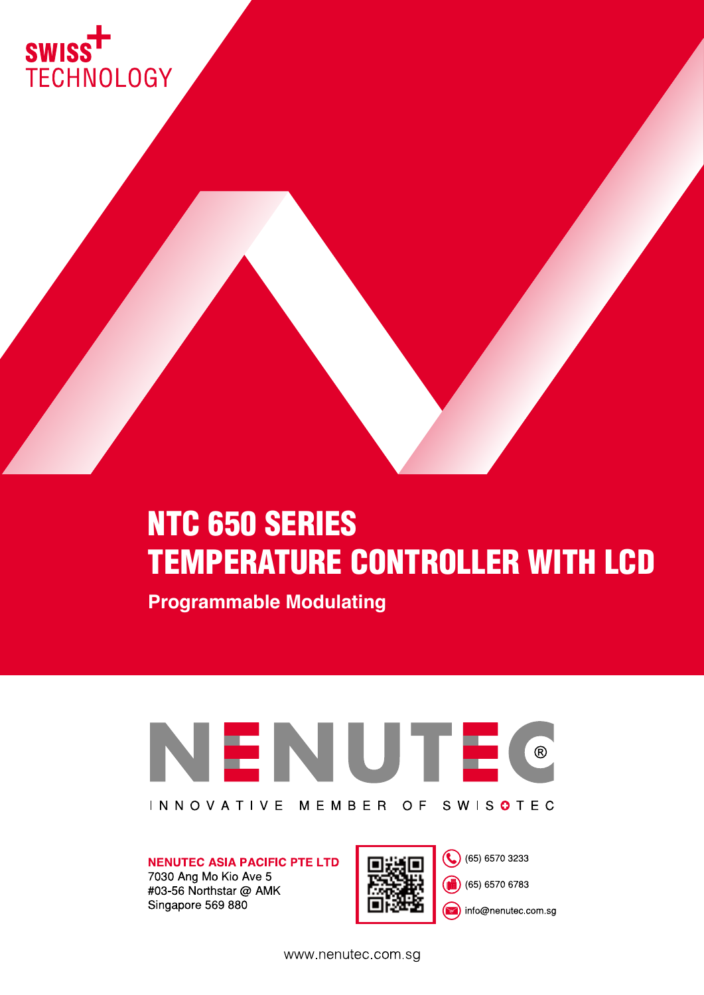

# NTC 650 SERIES TEMPERATURE CONTROLLER WITH LCD

**Programmable Modulating** 



**NENUTEC ASIA PACIFIC PTE LTD** 7030 Ang Mo Kio Ave 5

#03-56 Northstar @ AMK Singapore 569 880



(65) 6570 3233

(65) 6570 6783

nfo@nenutec.com.sg

www.nenutec.com.sg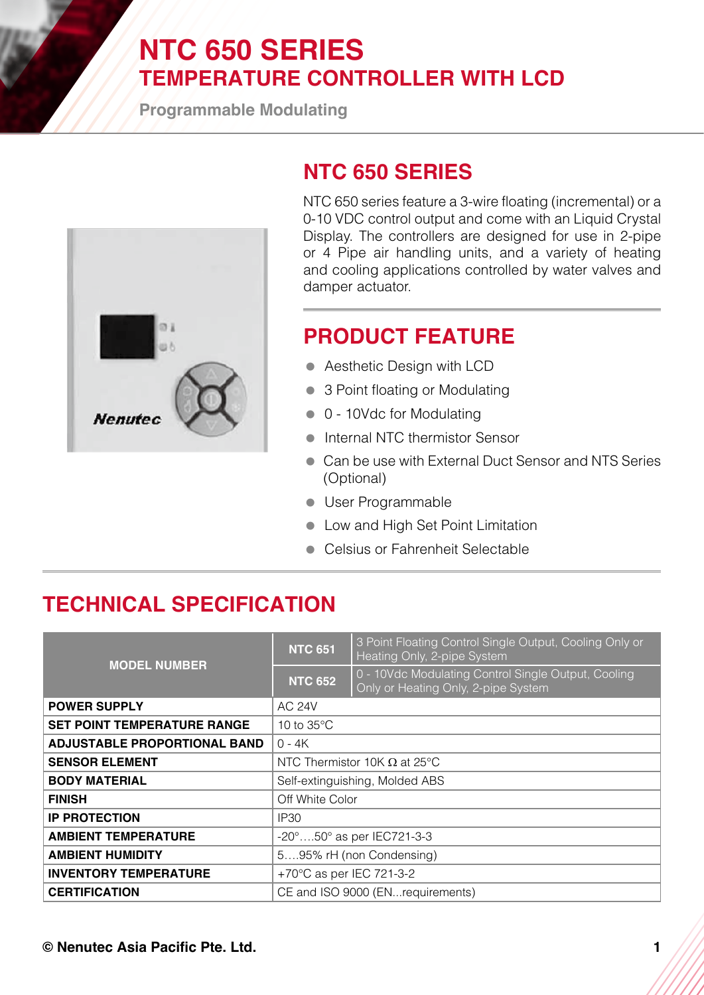## **NTC 650 SERIES TEMPERATURE CONTROLLER WITH LCD**

**Programmable Modulating**



### **NTC 650 SERIES**

NTC 650 series feature a 3-wire floating (incremental) or a 0-10 VDC control output and come with an Liquid Crystal Display. The controllers are designed for use in 2-pipe or 4 Pipe air handling units, and a variety of heating and cooling applications controlled by water valves and damper actuator.

### **PRODUCT FEATURE**

- **Aesthetic Design with LCD**
- 3 Point floating or Modulating
- 0 10Vdc for Modulating
- **Internal NTC thermistor Sensor**
- Can be use with External Duct Sensor and NTS Series (Optional)
- **User Programmable**
- **Low and High Set Point Limitation**
- **Celsius or Fahrenheit Selectable**

#### **TECHNICAL SPECIFICATION**

| <b>MODEL NUMBER</b>                 | <b>NTC 651</b>                      | 3 Point Floating Control Single Output, Cooling Only or<br>Heating Only, 2-pipe System     |
|-------------------------------------|-------------------------------------|--------------------------------------------------------------------------------------------|
|                                     | <b>NTC 652</b>                      | 0 - 10Vdc Modulating Control Single Output, Cooling<br>Only or Heating Only, 2-pipe System |
| <b>POWER SUPPLY</b>                 | <b>AC 24V</b>                       |                                                                                            |
| <b>SET POINT TEMPERATURE RANGE</b>  | 10 to $35^{\circ}$ C                |                                                                                            |
| <b>ADJUSTABLE PROPORTIONAL BAND</b> | $0 - 4K$                            |                                                                                            |
| <b>SENSOR ELEMENT</b>               | NTC Thermistor 10K $\Omega$ at 25°C |                                                                                            |
| <b>BODY MATERIAL</b>                | Self-extinguishing, Molded ABS      |                                                                                            |
| <b>FINISH</b>                       | Off White Color                     |                                                                                            |
| <b>IP PROTECTION</b>                | IP <sub>30</sub>                    |                                                                                            |
| <b>AMBIENT TEMPERATURE</b>          | -20°50° as per IEC721-3-3           |                                                                                            |
| <b>AMBIENT HUMIDITY</b>             | 595% rH (non Condensing)            |                                                                                            |
| <b>INVENTORY TEMPERATURE</b>        | +70°C as per IEC 721-3-2            |                                                                                            |
| <b>CERTIFICATION</b>                | CE and ISO 9000 (ENrequirements)    |                                                                                            |